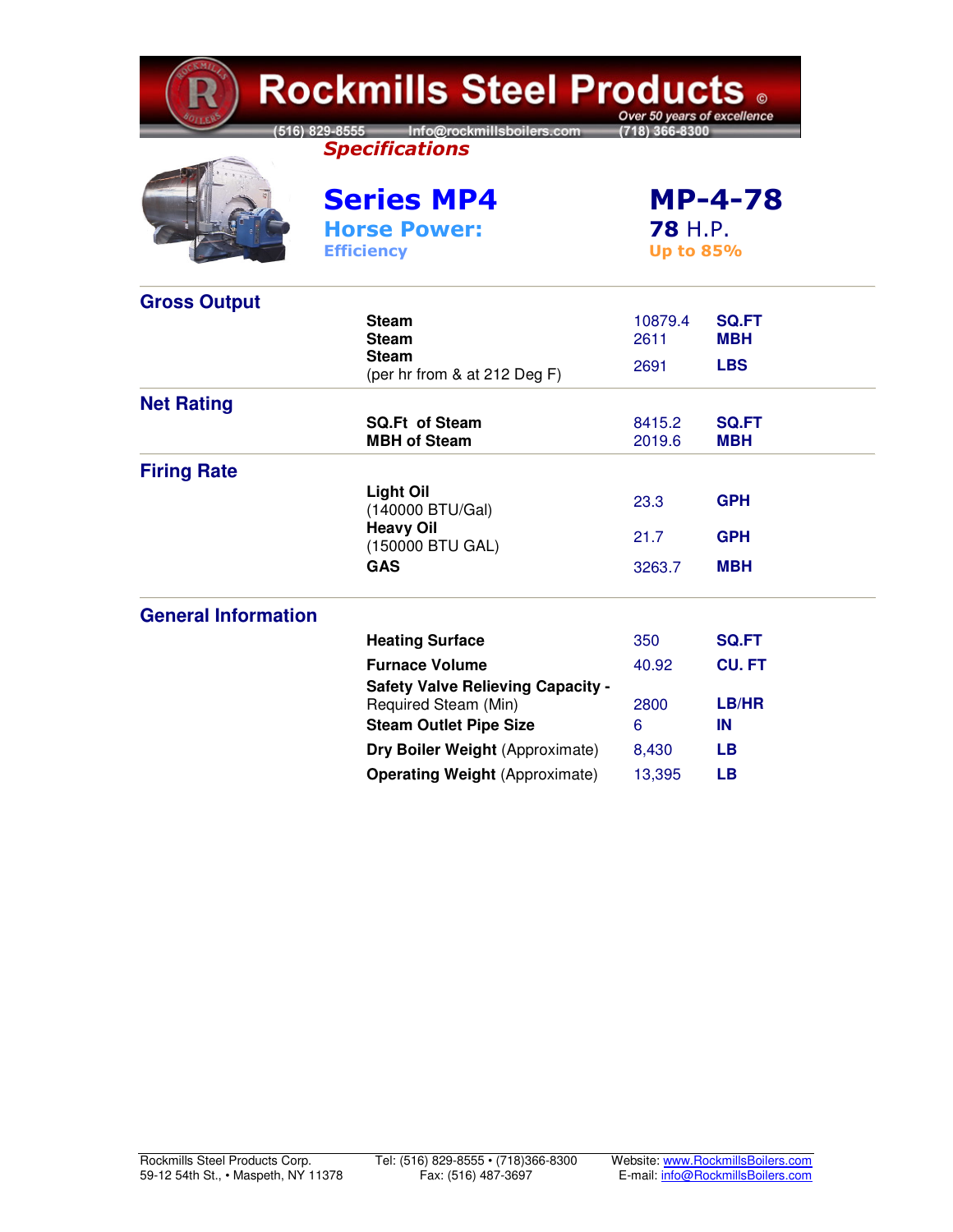| <b>Rockmills Steel Products 。</b><br>Over 50 years of excellence |                                                                   |                                    |                            |  |  |  |
|------------------------------------------------------------------|-------------------------------------------------------------------|------------------------------------|----------------------------|--|--|--|
|                                                                  | (516) 829-8555 Info@rockmillsboilers.com<br><b>Specifications</b> | 718) 366-8300                      |                            |  |  |  |
|                                                                  | <b>Series MP4</b><br><b>Horse Power:</b><br><b>Efficiency</b>     | <b>78 H.P.</b><br><b>Up to 85%</b> | <b>MP-4-78</b>             |  |  |  |
| <b>Gross Output</b>                                              |                                                                   |                                    |                            |  |  |  |
|                                                                  | <b>Steam</b><br><b>Steam</b>                                      | 10879.4<br>2611                    | <b>SQ.FT</b><br><b>MBH</b> |  |  |  |
|                                                                  | <b>Steam</b><br>(per hr from & at 212 Deg F)                      | 2691                               | <b>LBS</b>                 |  |  |  |
| <b>Net Rating</b>                                                |                                                                   |                                    |                            |  |  |  |
|                                                                  | <b>SQ.Ft of Steam</b><br><b>MBH of Steam</b>                      | 8415.2<br>2019.6                   | <b>SQ.FT</b><br><b>MBH</b> |  |  |  |
| <b>Firing Rate</b>                                               |                                                                   |                                    |                            |  |  |  |
|                                                                  | <b>Light Oil</b><br>(140000 BTU/Gal)                              | 23.3                               | <b>GPH</b>                 |  |  |  |
|                                                                  | <b>Heavy Oil</b><br>(150000 BTU GAL)                              | 21.7                               | <b>GPH</b>                 |  |  |  |
|                                                                  | <b>GAS</b>                                                        | 3263.7                             | <b>MBH</b>                 |  |  |  |
| <b>General Information</b>                                       |                                                                   |                                    |                            |  |  |  |
|                                                                  | <b>Heating Surface</b>                                            | 350                                | <b>SQ.FT</b>               |  |  |  |
|                                                                  | <b>Furnace Volume</b>                                             | 40.92                              | <b>CU.FT</b>               |  |  |  |
|                                                                  | <b>Safety Valve Relieving Capacity -</b><br>Required Steam (Min)  | 2800                               | LB/HR                      |  |  |  |
|                                                                  | <b>Steam Outlet Pipe Size</b>                                     | 6                                  | IN                         |  |  |  |
|                                                                  | Dry Boiler Weight (Approximate)                                   | 8,430                              | LВ                         |  |  |  |
|                                                                  | <b>Operating Weight (Approximate)</b>                             | 13,395                             | LВ                         |  |  |  |

CKMIL